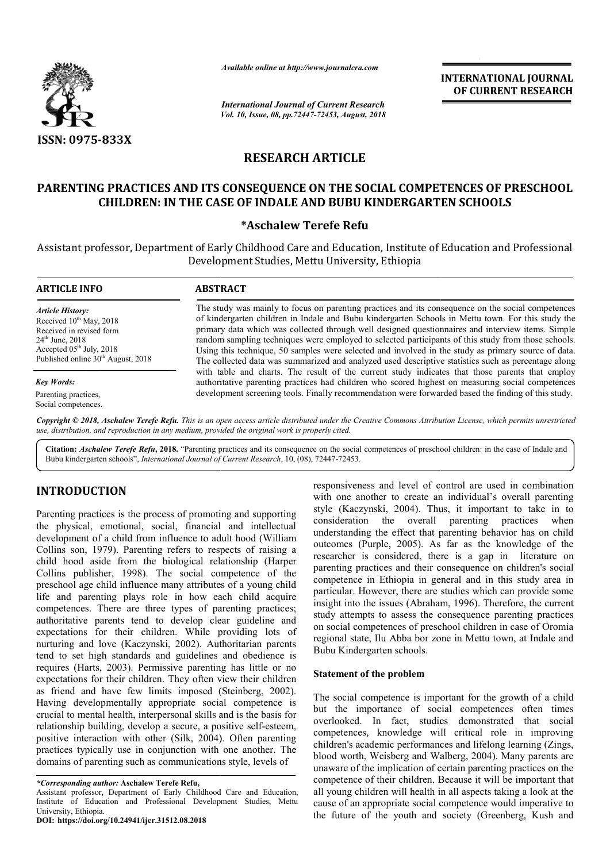

*Available online at http://www.journalcra.com*

*International Journal of Current Research Vol. 10, Issue, 08, pp.72447-72453, August, 2018* **INTERNATIONAL JOURNAL OF CURRENT RESEARCH**

# **RESEARCH ARTICLE**

# **PARENTING PRACTICES AND ITS CONSEQUENCE ON THE SOCIAL COMPETENCES OF PRESCHOOL CONSEQUENCE ON CHILDREN: IN THE CASE OF INDALE AND BUBU KINDERGARTEN SCHOOLS**

# **\*Aschalew Terefe Refu**

Assistant professor, Department of Early Childhood Care and Education, Institute of Education and Professional Development Studies, Mettu University, Ethiopia

| <b>ARTICLE INFO</b>                                                                                                                                                                                  | <b>ABSTRACT</b>                                                                                                                                                                                                                                                                                                                                                                                                                                                                                                                                                                                                                    |
|------------------------------------------------------------------------------------------------------------------------------------------------------------------------------------------------------|------------------------------------------------------------------------------------------------------------------------------------------------------------------------------------------------------------------------------------------------------------------------------------------------------------------------------------------------------------------------------------------------------------------------------------------------------------------------------------------------------------------------------------------------------------------------------------------------------------------------------------|
| <b>Article History:</b><br>Received $10^{th}$ May, 2018<br>Received in revised form<br>$24^{\text{th}}$ June, $2018$<br>Accepted $05th$ July, 2018<br>Published online 30 <sup>th</sup> August, 2018 | The study was mainly to focus on parenting practices and its consequence on the social competences<br>of kindergarten children in Indale and Bubu kindergarten Schools in Mettu town. For this study the<br>primary data which was collected through well designed questionnaires and interview items. Simple<br>random sampling techniques were employed to selected participants of this study from those schools.<br>Using this technique, 50 samples were selected and involved in the study as primary source of data.<br>The collected data was summarized and analyzed used descriptive statistics such as percentage along |
| <b>Key Words:</b>                                                                                                                                                                                    | with table and charts. The result of the current study indicates that those parents that employ<br>authoritative parenting practices had children who scored highest on measuring social competences                                                                                                                                                                                                                                                                                                                                                                                                                               |
| Parenting practices,<br>Social competences.                                                                                                                                                          | development screening tools. Finally recommendation were forwarded based the finding of this study.                                                                                                                                                                                                                                                                                                                                                                                                                                                                                                                                |

Copyright © 2018, Aschalew Terefe Refu. This is an open access article distributed under the Creative Commons Attribution License, which permits unrestrictea *use, distribution, and reproduction in any medium, provided the original work is properly cited.*

Citation: Aschalew Terefe Refu, 2018. "Parenting practices and its consequence on the social competences of preschool children: in the case of Indale and Bubu kindergarten schools", *International Journal of Current Research*, 10, (08), 72447-72453.

# **INTRODUCTION**

Parenting practices is the process of promoting and supporting the physical, emotional, social, financial and intellectual development of a child from influence to adult hood (William Collins son, 1979). Parenting refers to respects of raising a child hood aside from the biological relationship (Harper Collins publisher, 1998). The social competence of the preschool age child influence many attributes of a young child life and parenting plays role in how each child acquire competences. There are three types of parenting practices; authoritative parents tend to develop clear guideline and expectations for their children. While providing lots of nurturing and love (Kaczynski, 2002). Authoritarian parents tend to set high standards and guidelines and obedience is requires (Harts, 2003). Permissive parenting has little or no expectations for their children. They often view their children as friend and have few limits imposed (Steinberg, 2002). Having developmentally appropriate social competence is crucial to mental health, interpersonal skills and is the basis for relationship building, develop a secure, a positive self-esteem, positive interaction with other (Silk, 2004). Often parenting practices typically use in conjunction with one another. The domains of parenting such as communications style, levels of

**DOI: https://doi.org/10.24941/ijcr.31512.08.2018**

responsiveness and level of control are used in combination with one another to create an individual's overall parenting style (Kaczynski, 2004). Thus, it important to take in to consideration the overall parenting practices when understanding the effect that parenting behavior has on child outcomes (Purple, 2005). As far as the knowledge of the researcher is considered, there is a gap in literature on parenting practices and their consequence on children's social competence in Ethiopia in general and in this study area in particular. However, there are studies which can provide some insight into the issues (Abraham, 1996). Therefore, the current study attempts to assess the consequence parenting practices on social competences of preschool children in case of Oromia regional state, Ilu Abba bor zone in Mettu town, at Indale and Bubu Kindergarten schools. responsiveness and level of control are used in combination<br>with one another to create an individual's overall parenting<br>style (Kaczynski, 2004). Thus, it important to take in to<br>consideration the overall parenting practic and their consequence on children's social<br>competence in Ethiopia in general and in this study area in<br>anticular. However, there are studies which can provide some<br>msight into the issues (Abraham, 1996). Therefore, the cur

#### **Statement of the problem**

The social competence is important for the growth of a child but the importance of social competences often times overlooked. In fact, studies demonstrated that social competences, knowledge will critical role in improving children's academic performances and lifelong learning (Zings, blood worth, Weisberg and Walberg, 2004). Many parents are unaware of the implication of certain parenting practices on the competence of their children. Because it will be important that all young children will health in all aspects taking a look at the cause of an appropriate social competence would imperative to cause of an appropriate social competence would imperative to<br>the future of the youth and society (Greenberg, Kush and blood worth, Weisberg and Walberg, 2004). Many parents are unaware of the implication of certain parenting practices on the competence of their children. Because it will be important that all young children will health in

*<sup>\*</sup>Corresponding author:* **Aschalew Terefe Refu,**

Assistant professor, Department of Early Childhood Care and Education, Institute of Education and Professional Development Studies, Mettu University, Ethiopia.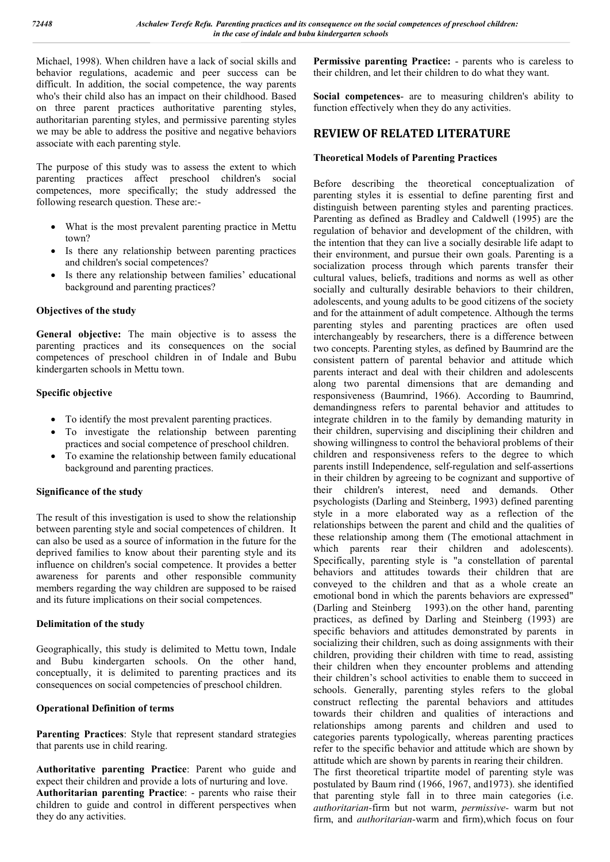Michael, 1998). When children have a lack of social skills and behavior regulations, academic and peer success can be difficult. In addition, the social competence, the way parents who's their child also has an impact on their childhood. Based on three parent practices authoritative parenting styles, authoritarian parenting styles, and permissive parenting styles we may be able to address the positive and negative behaviors associate with each parenting style.

The purpose of this study was to assess the extent to which parenting practices affect preschool children's social competences, more specifically; the study addressed the following research question. These are:-

- What is the most prevalent parenting practice in Mettu town?
- Is there any relationship between parenting practices and children's social competences?
- Is there any relationship between families' educational background and parenting practices?

# **Objectives of the study**

**General objective:** The main objective is to assess the parenting practices and its consequences on the social competences of preschool children in of Indale and Bubu kindergarten schools in Mettu town.

### **Specific objective**

- To identify the most prevalent parenting practices.
- To investigate the relationship between parenting practices and social competence of preschool children.
- To examine the relationship between family educational background and parenting practices.

### **Significance of the study**

The result of this investigation is used to show the relationship between parenting style and social competences of children. It can also be used as a source of information in the future for the deprived families to know about their parenting style and its influence on children's social competence. It provides a better awareness for parents and other responsible community members regarding the way children are supposed to be raised and its future implications on their social competences.

#### **Delimitation of the study**

Geographically, this study is delimited to Mettu town, Indale and Bubu kindergarten schools. On the other hand, conceptually, it is delimited to parenting practices and its consequences on social competencies of preschool children.

# **Operational Definition of terms**

**Parenting Practices**: Style that represent standard strategies that parents use in child rearing.

**Authoritative parenting Practice**: Parent who guide and expect their children and provide a lots of nurturing and love. **Authoritarian parenting Practice**: - parents who raise their children to guide and control in different perspectives when they do any activities.

**Permissive parenting Practice:** - parents who is careless to their children, and let their children to do what they want.

**Social competences**- are to measuring children's ability to function effectively when they do any activities.

# **REVIEW OF RELATED LITERATURE**

### **Theoretical Models of Parenting Practices**

Before describing the theoretical conceptualization of parenting styles it is essential to define parenting first and distinguish between parenting styles and parenting practices. Parenting as defined as Bradley and Caldwell (1995) are the regulation of behavior and development of the children, with the intention that they can live a socially desirable life adapt to their environment, and pursue their own goals. Parenting is a socialization process through which parents transfer their cultural values, beliefs, traditions and norms as well as other socially and culturally desirable behaviors to their children, adolescents, and young adults to be good citizens of the society and for the attainment of adult competence. Although the terms parenting styles and parenting practices are often used interchangeably by researchers, there is a difference between two concepts. Parenting styles, as defined by Baumrind are the consistent pattern of parental behavior and attitude which parents interact and deal with their children and adolescents along two parental dimensions that are demanding and responsiveness (Baumrind, 1966). According to Baumrind, demandingness refers to parental behavior and attitudes to integrate children in to the family by demanding maturity in their children, supervising and disciplining their children and showing willingness to control the behavioral problems of their children and responsiveness refers to the degree to which parents instill Independence, self-regulation and self-assertions in their children by agreeing to be cognizant and supportive of their children's interest, need and demands. Other psychologists (Darling and Steinberg, 1993) defined parenting style in a more elaborated way as a reflection of the relationships between the parent and child and the qualities of these relationship among them (The emotional attachment in which parents rear their children and adolescents). Specifically, parenting style is "a constellation of parental behaviors and attitudes towards their children that are conveyed to the children and that as a whole create an emotional bond in which the parents behaviors are expressed" (Darling and Steinberg 1993).on the other hand, parenting practices, as defined by Darling and Steinberg (1993) are specific behaviors and attitudes demonstrated by parents in socializing their children, such as doing assignments with their children, providing their children with time to read, assisting their children when they encounter problems and attending their children's school activities to enable them to succeed in schools. Generally, parenting styles refers to the global construct reflecting the parental behaviors and attitudes towards their children and qualities of interactions and relationships among parents and children and used to categories parents typologically, whereas parenting practices refer to the specific behavior and attitude which are shown by attitude which are shown by parents in rearing their children. The first theoretical tripartite model of parenting style was

postulated by Baum rind (1966, 1967, and1973). she identified that parenting style fall in to three main categories (i.e. *authoritarian-*firm but not warm, *permissive-* warm but not firm, and *authoritarian-*warm and firm),which focus on four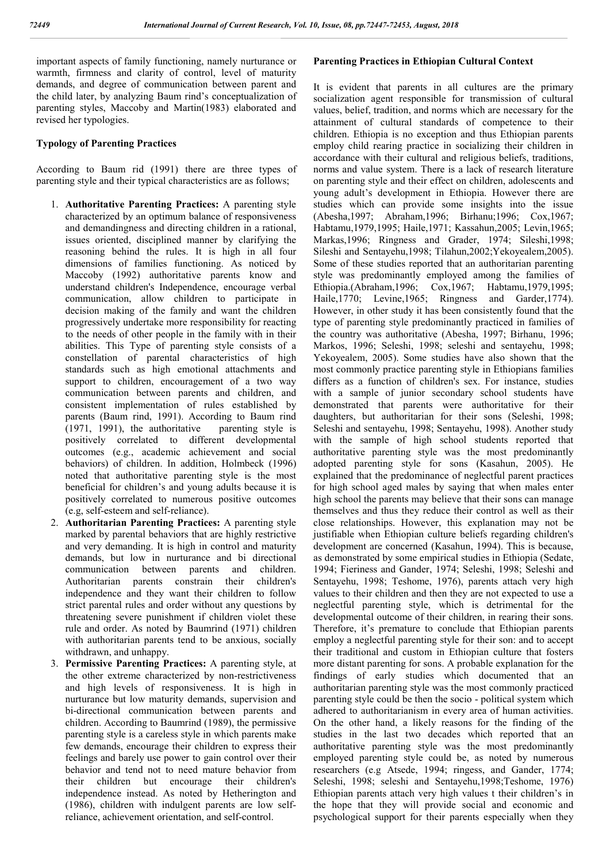important aspects of family functioning, namely nurturance or warmth, firmness and clarity of control, level of maturity demands, and degree of communication between parent and the child later, by analyzing Baum rind's conceptualization of parenting styles, Maccoby and Martin(1983) elaborated and revised her typologies.

### **Typology of Parenting Practices**

According to Baum rid (1991) there are three types of parenting style and their typical characteristics are as follows;

- 1. **Authoritative Parenting Practices:** A parenting style characterized by an optimum balance of responsiveness and demandingness and directing children in a rational, issues oriented, disciplined manner by clarifying the reasoning behind the rules. It is high in all four dimensions of families functioning. As noticed by Maccoby (1992) authoritative parents know and understand children's Independence, encourage verbal communication, allow children to participate in decision making of the family and want the children progressively undertake more responsibility for reacting to the needs of other people in the family with in their abilities. This Type of parenting style consists of a constellation of parental characteristics of high standards such as high emotional attachments and support to children, encouragement of a two way communication between parents and children, and consistent implementation of rules established by parents (Baum rind, 1991). According to Baum rind (1971, 1991), the authoritative parenting style is positively correlated to different developmental outcomes (e.g., academic achievement and social behaviors) of children. In addition, Holmbeck (1996) noted that authoritative parenting style is the most beneficial for children's and young adults because it is positively correlated to numerous positive outcomes (e.g, self-esteem and self-reliance).
- 2. **Authoritarian Parenting Practices:** A parenting style marked by parental behaviors that are highly restrictive and very demanding. It is high in control and maturity demands, but low in nurturance and bi directional communication between parents and children. Authoritarian parents constrain their children's independence and they want their children to follow strict parental rules and order without any questions by threatening severe punishment if children violet these rule and order. As noted by Baumrind (1971) children with authoritarian parents tend to be anxious, socially withdrawn, and unhappy.
- 3. **Permissive Parenting Practices:** A parenting style, at the other extreme characterized by non-restrictiveness and high levels of responsiveness. It is high in nurturance but low maturity demands, supervision and bi-directional communication between parents and children. According to Baumrind (1989), the permissive parenting style is a careless style in which parents make few demands, encourage their children to express their feelings and barely use power to gain control over their behavior and tend not to need mature behavior from their children but encourage their children's independence instead. As noted by Hetherington and (1986), children with indulgent parents are low selfreliance, achievement orientation, and self-control.

#### **Parenting Practices in Ethiopian Cultural Context**

It is evident that parents in all cultures are the primary socialization agent responsible for transmission of cultural values, belief, tradition, and norms which are necessary for the attainment of cultural standards of competence to their children. Ethiopia is no exception and thus Ethiopian parents employ child rearing practice in socializing their children in accordance with their cultural and religious beliefs, traditions, norms and value system. There is a lack of research literature on parenting style and their effect on children, adolescents and young adult's development in Ethiopia. However there are studies which can provide some insights into the issue (Abesha,1997; Abraham,1996; Birhanu;1996; Cox,1967; Habtamu,1979,1995; Haile,1971; Kassahun,2005; Levin,1965; Markas,1996; Ringness and Grader, 1974; Sileshi,1998; Sileshi and Sentayehu,1998; Tilahun,2002;Yekoyealem,2005). Some of these studies reported that an authoritarian parenting style was predominantly employed among the families of Ethiopia.(Abraham,1996; Cox,1967; Habtamu,1979,1995; Haile,1770; Levine,1965; Ringness and Garder,1774). However, in other study it has been consistently found that the type of parenting style predominantly practiced in families of the country was authoritative (Abesha, 1997; Birhanu, 1996; Markos, 1996; Seleshi, 1998; seleshi and sentayehu, 1998; Yekoyealem, 2005). Some studies have also shown that the most commonly practice parenting style in Ethiopians families differs as a function of children's sex. For instance, studies with a sample of junior secondary school students have demonstrated that parents were authoritative for their daughters, but authoritarian for their sons (Seleshi, 1998; Seleshi and sentayehu, 1998; Sentayehu, 1998). Another study with the sample of high school students reported that authoritative parenting style was the most predominantly adopted parenting style for sons (Kasahun, 2005). He explained that the predominance of neglectful parent practices for high school aged males by saying that when males enter high school the parents may believe that their sons can manage themselves and thus they reduce their control as well as their close relationships. However, this explanation may not be justifiable when Ethiopian culture beliefs regarding children's development are concerned (Kasahun, 1994). This is because, as demonstrated by some empirical studies in Ethiopia (Sedate, 1994; Fieriness and Gander, 1974; Seleshi, 1998; Seleshi and Sentayehu, 1998; Teshome, 1976), parents attach very high values to their children and then they are not expected to use a neglectful parenting style, which is detrimental for the developmental outcome of their children, in rearing their sons. Therefore, it's premature to conclude that Ethiopian parents employ a neglectful parenting style for their son: and to accept their traditional and custom in Ethiopian culture that fosters more distant parenting for sons. A probable explanation for the findings of early studies which documented that an authoritarian parenting style was the most commonly practiced parenting style could be then the socio - political system which adhered to authoritarianism in every area of human activities. On the other hand, a likely reasons for the finding of the studies in the last two decades which reported that an authoritative parenting style was the most predominantly employed parenting style could be, as noted by numerous researchers (e.g Atsede, 1994; ringess, and Gander, 1774; Seleshi, 1998; seleshi and Sentayehu,1998;Teshome, 1976) Ethiopian parents attach very high values t their children's in the hope that they will provide social and economic and psychological support for their parents especially when they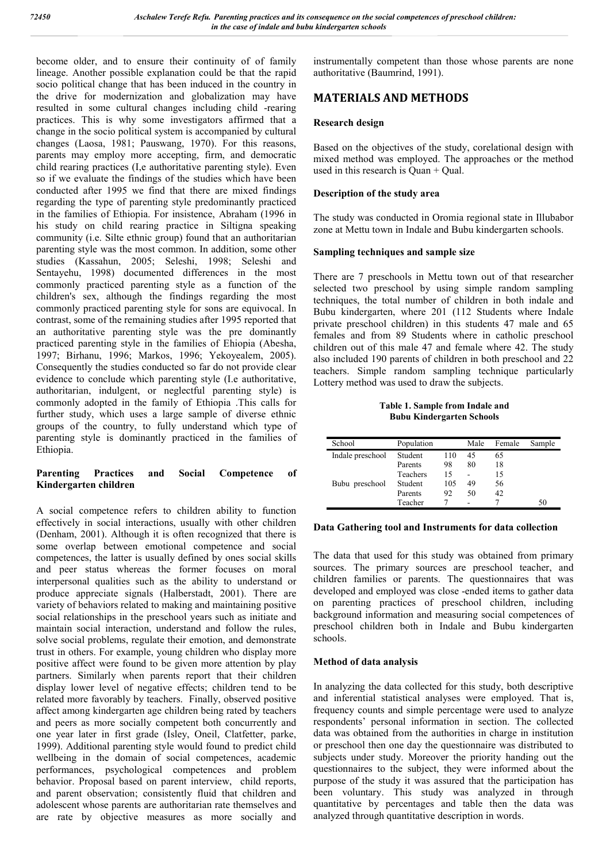become older, and to ensure their continuity of of family lineage. Another possible explanation could be that the rapid socio political change that has been induced in the country in the drive for modernization and globalization may have resulted in some cultural changes including child -rearing practices. This is why some investigators affirmed that a change in the socio political system is accompanied by cultural changes (Laosa, 1981; Pauswang, 1970). For this reasons, parents may employ more accepting, firm, and democratic child rearing practices (I,e authoritative parenting style). Even so if we evaluate the findings of the studies which have been conducted after 1995 we find that there are mixed findings regarding the type of parenting style predominantly practiced in the families of Ethiopia. For insistence, Abraham (1996 in his study on child rearing practice in Siltigna speaking community (i.e. Silte ethnic group) found that an authoritarian parenting style was the most common. In addition, some other studies (Kassahun, 2005; Seleshi, 1998; Seleshi and Sentayehu, 1998) documented differences in the most commonly practiced parenting style as a function of the children's sex, although the findings regarding the most commonly practiced parenting style for sons are equivocal. In contrast, some of the remaining studies after 1995 reported that an authoritative parenting style was the pre dominantly practiced parenting style in the families of Ehiopia (Abesha, 1997; Birhanu, 1996; Markos, 1996; Yekoyealem, 2005). Consequently the studies conducted so far do not provide clear evidence to conclude which parenting style (I.e authoritative, authoritarian, indulgent, or neglectful parenting style) is commonly adopted in the family of Ethiopia .This calls for further study, which uses a large sample of diverse ethnic groups of the country, to fully understand which type of parenting style is dominantly practiced in the families of Ethiopia.

#### **Parenting Practices and Social Competence of Kindergarten children**

A social competence refers to children ability to function effectively in social interactions, usually with other children (Denham, 2001). Although it is often recognized that there is some overlap between emotional competence and social competences, the latter is usually defined by ones social skills and peer status whereas the former focuses on moral interpersonal qualities such as the ability to understand or produce appreciate signals (Halberstadt, 2001). There are variety of behaviors related to making and maintaining positive social relationships in the preschool years such as initiate and maintain social interaction, understand and follow the rules, solve social problems, regulate their emotion, and demonstrate trust in others. For example, young children who display more positive affect were found to be given more attention by play partners. Similarly when parents report that their children display lower level of negative effects; children tend to be related more favorably by teachers. Finally, observed positive affect among kindergarten age children being rated by teachers and peers as more socially competent both concurrently and one year later in first grade (Isley, Oneil, Clatfetter, parke, 1999). Additional parenting style would found to predict child wellbeing in the domain of social competences, academic performances, psychological competences and problem behavior. Proposal based on parent interview, child reports, and parent observation; consistently fluid that children and adolescent whose parents are authoritarian rate themselves and are rate by objective measures as more socially and

instrumentally competent than those whose parents are none authoritative (Baumrind, 1991).

# **MATERIALS AND METHODS**

#### **Research design**

Based on the objectives of the study, corelational design with mixed method was employed. The approaches or the method used in this research is Quan + Qual.

#### **Description of the study area**

The study was conducted in Oromia regional state in Illubabor zone at Mettu town in Indale and Bubu kindergarten schools.

### **Sampling techniques and sample size**

There are 7 preschools in Mettu town out of that researcher selected two preschool by using simple random sampling techniques, the total number of children in both indale and Bubu kindergarten, where 201 (112 Students where Indale private preschool children) in this students 47 male and 65 females and from 89 Students where in catholic preschool children out of this male 47 and female where 42. The study also included 190 parents of children in both preschool and 22 teachers. Simple random sampling technique particularly Lottery method was used to draw the subjects.

**Table 1. Sample from Indale and Bubu Kindergarten Schools**

| School           | Population |     | Male | Female | Sample |
|------------------|------------|-----|------|--------|--------|
| Indale preschool | Student    | 110 | 45   | 65     |        |
|                  | Parents    | 98  | 80   | 18     |        |
|                  | Teachers   | 15  |      | 15     |        |
| Bubu preschool   | Student    | 105 | 49   | 56     |        |
|                  | Parents    | 92  | 50   | 42     |        |
|                  | Teacher    |     |      |        |        |

#### **Data Gathering tool and Instruments for data collection**

The data that used for this study was obtained from primary sources. The primary sources are preschool teacher, and children families or parents. The questionnaires that was developed and employed was close -ended items to gather data on parenting practices of preschool children, including background information and measuring social competences of preschool children both in Indale and Bubu kindergarten schools.

#### **Method of data analysis**

In analyzing the data collected for this study, both descriptive and inferential statistical analyses were employed. That is, frequency counts and simple percentage were used to analyze respondents' personal information in section. The collected data was obtained from the authorities in charge in institution or preschool then one day the questionnaire was distributed to subjects under study. Moreover the priority handing out the questionnaires to the subject, they were informed about the purpose of the study it was assured that the participation has been voluntary. This study was analyzed in through quantitative by percentages and table then the data was analyzed through quantitative description in words.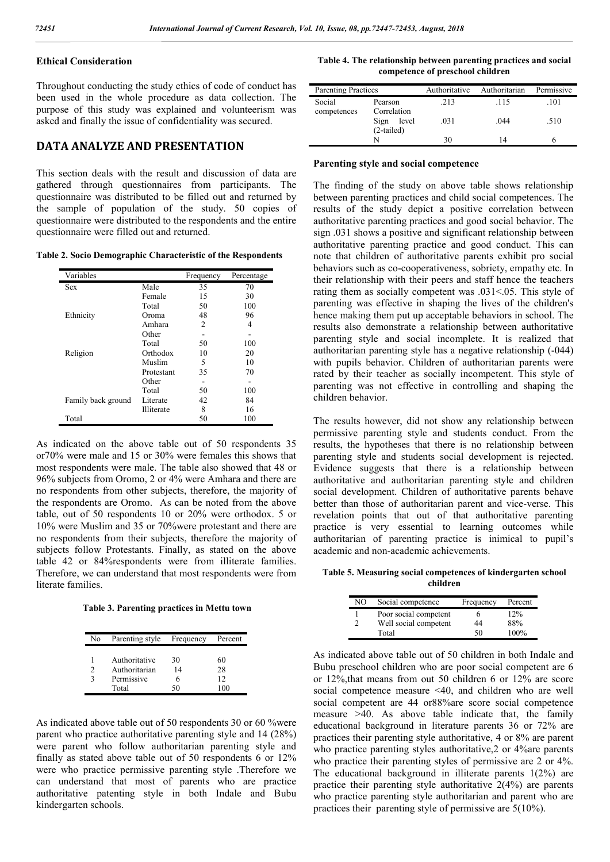### **Ethical Consideration**

Throughout conducting the study ethics of code of conduct has been used in the whole procedure as data collection. The purpose of this study was explained and volunteerism was asked and finally the issue of confidentiality was secured.

### **DATA ANALYZE AND PRESENTATION**

This section deals with the result and discussion of data are gathered through questionnaires from participants. The questionnaire was distributed to be filled out and returned by the sample of population of the study. 50 copies of questionnaire were distributed to the respondents and the entire questionnaire were filled out and returned.

**Table 2. Socio Demographic Characteristic of the Respondents** 

| Variables          |            | Frequency | Percentage |
|--------------------|------------|-----------|------------|
| Sex                | Male       | 35        | 70         |
|                    | Female     | 15        | 30         |
|                    | Total      | 50        | 100        |
| Ethnicity          | Oroma      | 48        | 96         |
|                    | Amhara     | 2         | 4          |
|                    | Other      |           |            |
|                    | Total      | 50        | 100        |
| Religion           | Orthodox   | 10        | 20         |
|                    | Muslim     | 5         | 10         |
|                    | Protestant | 35        | 70         |
|                    | Other      |           |            |
|                    | Total      | 50        | 100        |
| Family back ground | Literate   | 42        | 84         |
|                    | Illiterate | 8         | 16         |
| Total              |            | 50        | 100        |

As indicated on the above table out of 50 respondents 35 or70% were male and 15 or 30% were females this shows that most respondents were male. The table also showed that 48 or 96% subjects from Oromo, 2 or 4% were Amhara and there are no respondents from other subjects, therefore, the majority of the respondents are Oromo. As can be noted from the above table, out of 50 respondents 10 or 20% were orthodox. 5 or 10% were Muslim and 35 or 70%were protestant and there are no respondents from their subjects, therefore the majority of subjects follow Protestants. Finally, as stated on the above table 42 or 84%respondents were from illiterate families. Therefore, we can understand that most respondents were from literate families.

**Table 3. Parenting practices in Mettu town**

| No            | Parenting style | Frequency | Percent |
|---------------|-----------------|-----------|---------|
|               | Authoritative   | 30        | 60      |
| $\mathcal{P}$ | Authoritarian   | 14        | 28      |
|               | Permissive      |           | 12      |
|               | Total           | -50       | 100     |

As indicated above table out of 50 respondents 30 or 60 %were parent who practice authoritative parenting style and 14 (28%) were parent who follow authoritarian parenting style and finally as stated above table out of 50 respondents 6 or 12% were who practice permissive parenting style .Therefore we can understand that most of parents who are practice authoritative patenting style in both Indale and Bubu kindergarten schools.

**Table 4. The relationship between parenting practices and social competence of preschool children**

| <b>Parenting Practices</b> |                               | Authoritative | Authoritarian | Permissive |
|----------------------------|-------------------------------|---------------|---------------|------------|
| Social<br>competences      | Pearson<br>Correlation        | .213          | .115          | .101       |
|                            | Sign<br>level<br>$(2-tailed)$ | .031          | .044          | .510       |
|                            |                               | 30            | 14            |            |

#### **Parenting style and social competence**

The finding of the study on above table shows relationship between parenting practices and child social competences. The results of the study depict a positive correlation between authoritative parenting practices and good social behavior. The sign .031 shows a positive and significant relationship between authoritative parenting practice and good conduct. This can note that children of authoritative parents exhibit pro social behaviors such as co-cooperativeness, sobriety, empathy etc. In their relationship with their peers and staff hence the teachers rating them as socially competent was .031<.05. This style of parenting was effective in shaping the lives of the children's hence making them put up acceptable behaviors in school. The results also demonstrate a relationship between authoritative parenting style and social incomplete. It is realized that authoritarian parenting style has a negative relationship (-044) with pupils behavior. Children of authoritarian parents were rated by their teacher as socially incompetent. This style of parenting was not effective in controlling and shaping the children behavior.

The results however, did not show any relationship between permissive parenting style and students conduct. From the results, the hypotheses that there is no relationship between parenting style and students social development is rejected. Evidence suggests that there is a relationship between authoritative and authoritarian parenting style and children social development. Children of authoritative parents behave better than those of authoritarian parent and vice-verse. This revelation points that out of that authoritative parenting practice is very essential to learning outcomes while authoritarian of parenting practice is inimical to pupil's academic and non-academic achievements.

**Table 5. Measuring social competences of kindergarten school children**

| NO | Social competence     | Frequency | Percent |
|----|-----------------------|-----------|---------|
|    | Poor social competent | 6         | 12%     |
| າ  | Well social competent | 44        | 88%     |
|    | Total                 | 50        | 100%    |

As indicated above table out of 50 children in both Indale and Bubu preschool children who are poor social competent are 6 or 12%,that means from out 50 children 6 or 12% are score social competence measure <40, and children who are well social competent are 44 or88%are score social competence measure  $>40$ . As above table indicate that, the family educational background in literature parents 36 or 72% are practices their parenting style authoritative, 4 or 8% are parent who practice parenting styles authoritative, 2 or 4% are parents who practice their parenting styles of permissive are 2 or 4%. The educational background in illiterate parents 1(2%) are practice their parenting style authoritative 2(4%) are parents who practice parenting style authoritarian and parent who are practices their parenting style of permissive are 5(10%).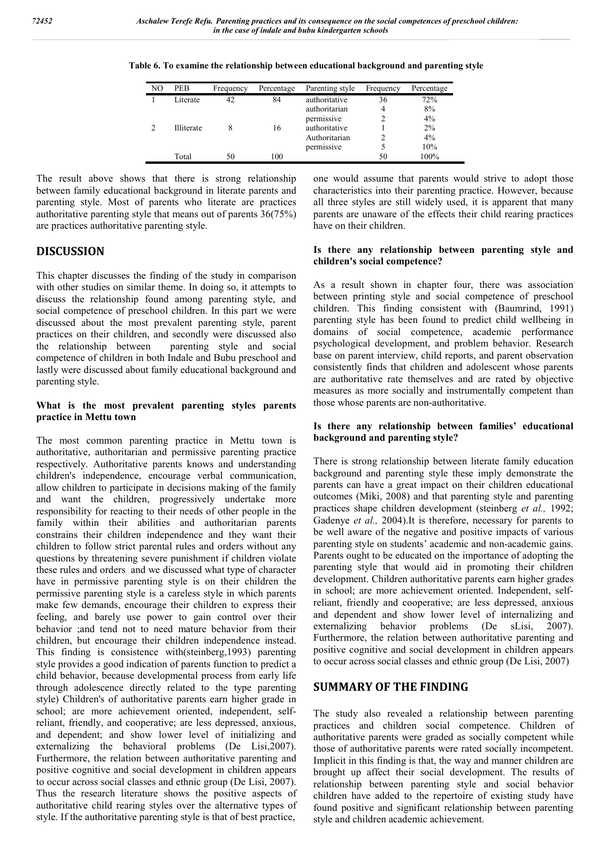| NO             | PEB        | Frequency | Percentage | Parenting style                              | Frequency | Percentage      |
|----------------|------------|-----------|------------|----------------------------------------------|-----------|-----------------|
|                | Literate   | 42        | 84         | authoritative<br>authoritarian<br>permissive | 36<br>4   | 72%<br>8%<br>4% |
| $\mathfrak{D}$ | Illiterate | 8         | 16         | authoritative<br>Authoritarian               |           | 2%<br>4%        |
|                | Total      | 50        | 100        | permissive                                   | 50        | 10%<br>100%     |

**Table 6. To examine the relationship between educational background and parenting style**

The result above shows that there is strong relationship between family educational background in literate parents and parenting style. Most of parents who literate are practices authoritative parenting style that means out of parents 36(75%) are practices authoritative parenting style.

# **DISCUSSION**

This chapter discusses the finding of the study in comparison with other studies on similar theme. In doing so, it attempts to discuss the relationship found among parenting style, and social competence of preschool children. In this part we were discussed about the most prevalent parenting style, parent practices on their children, and secondly were discussed also the relationship between parenting style and social competence of children in both Indale and Bubu preschool and lastly were discussed about family educational background and parenting style.

#### **What is the most prevalent parenting styles parents practice in Mettu town**

The most common parenting practice in Mettu town is authoritative, authoritarian and permissive parenting practice respectively. Authoritative parents knows and understanding children's independence, encourage verbal communication, allow children to participate in decisions making of the family and want the children, progressively undertake more responsibility for reacting to their needs of other people in the family within their abilities and authoritarian parents constrains their children independence and they want their children to follow strict parental rules and orders without any questions by threatening severe punishment if children violate these rules and orders and we discussed what type of character have in permissive parenting style is on their children the permissive parenting style is a careless style in which parents make few demands, encourage their children to express their feeling, and barely use power to gain control over their behavior ;and tend not to need mature behavior from their children, but encourage their children independence instead. This finding is consistence with(steinberg,1993) parenting style provides a good indication of parents function to predict a child behavior, because developmental process from early life through adolescence directly related to the type parenting style) Children's of authoritative parents earn higher grade in school; are more achievement oriented, independent, selfreliant, friendly, and cooperative; are less depressed, anxious, and dependent; and show lower level of initializing and externalizing the behavioral problems (De Lisi,2007). Furthermore, the relation between authoritative parenting and positive cognitive and social development in children appears to occur across social classes and ethnic group (De Lisi, 2007). Thus the research literature shows the positive aspects of authoritative child rearing styles over the alternative types of style. If the authoritative parenting style is that of best practice,

one would assume that parents would strive to adopt those characteristics into their parenting practice. However, because all three styles are still widely used, it is apparent that many parents are unaware of the effects their child rearing practices have on their children.

#### **Is there any relationship between parenting style and children's social competence?**

As a result shown in chapter four, there was association between printing style and social competence of preschool children. This finding consistent with (Baumrind, 1991) parenting style has been found to predict child wellbeing in domains of social competence, academic performance psychological development, and problem behavior. Research base on parent interview, child reports, and parent observation consistently finds that children and adolescent whose parents are authoritative rate themselves and are rated by objective measures as more socially and instrumentally competent than those whose parents are non-authoritative.

#### **Is there any relationship between families' educational background and parenting style?**

There is strong relationship between literate family education background and parenting style these imply demonstrate the parents can have a great impact on their children educational outcomes (Miki, 2008) and that parenting style and parenting practices shape children development (steinberg *et al.,* 1992; Gadenye *et al.,* 2004).It is therefore, necessary for parents to be well aware of the negative and positive impacts of various parenting style on students' academic and non-academic gains. Parents ought to be educated on the importance of adopting the parenting style that would aid in promoting their children development. Children authoritative parents earn higher grades in school; are more achievement oriented. Independent, selfreliant, friendly and cooperative; are less depressed, anxious and dependent and show lower level of internalizing and externalizing behavior problems (De sLisi, 2007). Furthermore, the relation between authoritative parenting and positive cognitive and social development in children appears to occur across social classes and ethnic group (De Lisi, 2007)

# **SUMMARY OF THE FINDING**

The study also revealed a relationship between parenting practices and children social competence. Children of authoritative parents were graded as socially competent while those of authoritative parents were rated socially incompetent. Implicit in this finding is that, the way and manner children are brought up affect their social development. The results of relationship between parenting style and social behavior children have added to the repertoire of existing study have found positive and significant relationship between parenting style and children academic achievement.